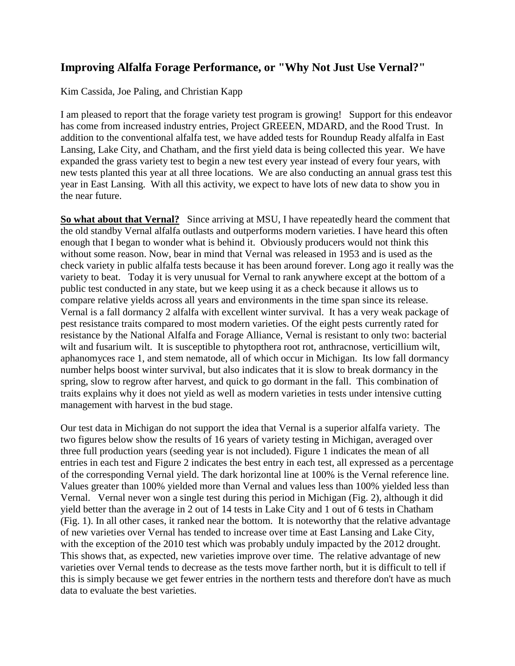## **Improving Alfalfa Forage Performance, or "Why Not Just Use Vernal?"**

Kim Cassida, Joe Paling, and Christian Kapp

I am pleased to report that the forage variety test program is growing! Support for this endeavor has come from increased industry entries, Project GREEEN, MDARD, and the Rood Trust. In addition to the conventional alfalfa test, we have added tests for Roundup Ready alfalfa in East Lansing, Lake City, and Chatham, and the first yield data is being collected this year. We have expanded the grass variety test to begin a new test every year instead of every four years, with new tests planted this year at all three locations. We are also conducting an annual grass test this year in East Lansing. With all this activity, we expect to have lots of new data to show you in the near future.

**So what about that Vernal?** Since arriving at MSU, I have repeatedly heard the comment that the old standby Vernal alfalfa outlasts and outperforms modern varieties. I have heard this often enough that I began to wonder what is behind it. Obviously producers would not think this without some reason. Now, bear in mind that Vernal was released in 1953 and is used as the check variety in public alfalfa tests because it has been around forever. Long ago it really was the variety to beat. Today it is very unusual for Vernal to rank anywhere except at the bottom of a public test conducted in any state, but we keep using it as a check because it allows us to compare relative yields across all years and environments in the time span since its release. Vernal is a fall dormancy 2 alfalfa with excellent winter survival. It has a very weak package of pest resistance traits compared to most modern varieties. Of the eight pests currently rated for resistance by the National Alfalfa and Forage Alliance, Vernal is resistant to only two: bacterial wilt and fusarium wilt. It is susceptible to phytopthera root rot, anthracnose, verticillium wilt, aphanomyces race 1, and stem nematode, all of which occur in Michigan. Its low fall dormancy number helps boost winter survival, but also indicates that it is slow to break dormancy in the spring, slow to regrow after harvest, and quick to go dormant in the fall. This combination of traits explains why it does not yield as well as modern varieties in tests under intensive cutting management with harvest in the bud stage.

Our test data in Michigan do not support the idea that Vernal is a superior alfalfa variety. The two figures below show the results of 16 years of variety testing in Michigan, averaged over three full production years (seeding year is not included). Figure 1 indicates the mean of all entries in each test and Figure 2 indicates the best entry in each test, all expressed as a percentage of the corresponding Vernal yield. The dark horizontal line at 100% is the Vernal reference line. Values greater than 100% yielded more than Vernal and values less than 100% yielded less than Vernal. Vernal never won a single test during this period in Michigan (Fig. 2), although it did yield better than the average in 2 out of 14 tests in Lake City and 1 out of 6 tests in Chatham (Fig. 1). In all other cases, it ranked near the bottom. It is noteworthy that the relative advantage of new varieties over Vernal has tended to increase over time at East Lansing and Lake City, with the exception of the 2010 test which was probably unduly impacted by the 2012 drought. This shows that, as expected, new varieties improve over time. The relative advantage of new varieties over Vernal tends to decrease as the tests move farther north, but it is difficult to tell if this is simply because we get fewer entries in the northern tests and therefore don't have as much data to evaluate the best varieties.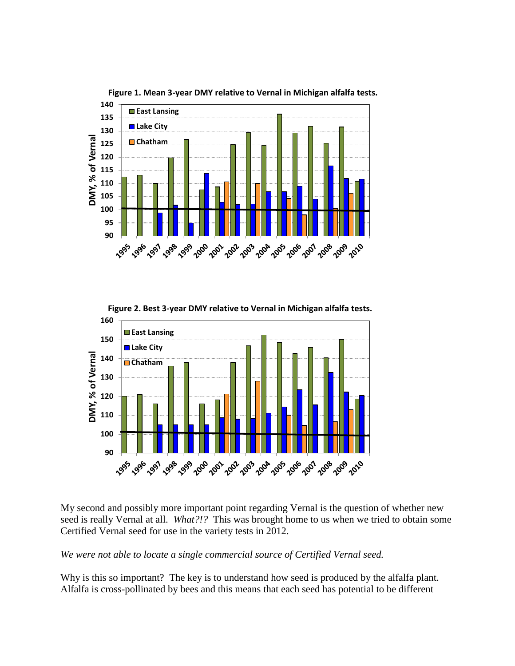

**Figure 1. Mean 3-year DMY relative to Vernal in Michigan alfalfa tests.**





My second and possibly more important point regarding Vernal is the question of whether new seed is really Vernal at all. *What?!?* This was brought home to us when we tried to obtain some Certified Vernal seed for use in the variety tests in 2012.

*We were not able to locate a single commercial source of Certified Vernal seed.* 

Why is this so important? The key is to understand how seed is produced by the alfalfa plant. Alfalfa is cross-pollinated by bees and this means that each seed has potential to be different